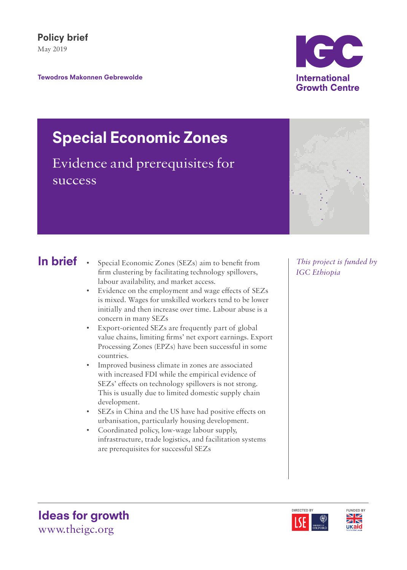## Policy brief May 2019

Tewodros Makonnen Gebrewolde

# ICC **International Growth Centre**

## Special Economic Zones

Evidence and prerequisites for success

## In brief

- Special Economic Zones (SEZs) aim to benefit from firm clustering by facilitating technology spillovers, labour availability, and market access.
- Evidence on the employment and wage effects of SEZs is mixed. Wages for unskilled workers tend to be lower initially and then increase over time. Labour abuse is a concern in many SEZs
- Export-oriented SEZs are frequently part of global value chains, limiting firms' net export earnings. Export Processing Zones (EPZs) have been successful in some countries.
- Improved business climate in zones are associated with increased FDI while the empirical evidence of SEZs' effects on technology spillovers is not strong. This is usually due to limited domestic supply chain development.
- SEZs in China and the US have had positive effects on urbanisation, particularly housing development.
- Coordinated policy, low-wage labour supply, infrastructure, trade logistics, and facilitation systems are prerequisites for successful SEZs

*This project is funded by IGC Ethiopia* 







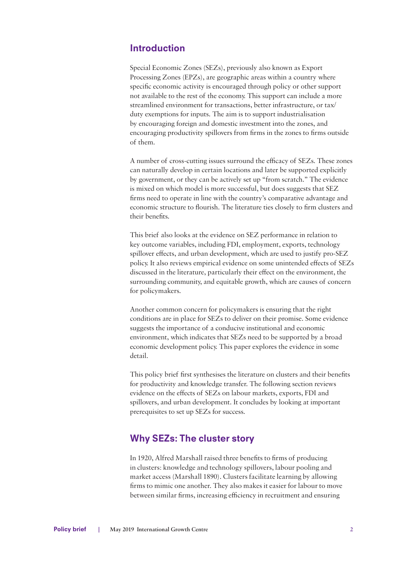## Introduction

Special Economic Zones (SEZs), previously also known as Export Processing Zones (EPZs), are geographic areas within a country where specific economic activity is encouraged through policy or other support not available to the rest of the economy. This support can include a more streamlined environment for transactions, better infrastructure, or tax/ duty exemptions for inputs. The aim is to support industrialisation by encouraging foreign and domestic investment into the zones, and encouraging productivity spillovers from firms in the zones to firms outside of them.

A number of cross-cutting issues surround the efficacy of SEZs. These zones can naturally develop in certain locations and later be supported explicitly by government, or they can be actively set up "from scratch." The evidence is mixed on which model is more successful, but does suggests that SEZ firms need to operate in line with the country's comparative advantage and economic structure to flourish. The literature ties closely to firm clusters and their benefits.

This brief also looks at the evidence on SEZ performance in relation to key outcome variables, including FDI, employment, exports, technology spillover effects, and urban development, which are used to justify pro-SEZ policy. It also reviews empirical evidence on some unintended effects of SEZs discussed in the literature, particularly their effect on the environment, the surrounding community, and equitable growth, which are causes of concern for policymakers.

Another common concern for policymakers is ensuring that the right conditions are in place for SEZs to deliver on their promise. Some evidence suggests the importance of a conducive institutional and economic environment, which indicates that SEZs need to be supported by a broad economic development policy. This paper explores the evidence in some detail.

This policy brief first synthesises the literature on clusters and their benefits for productivity and knowledge transfer. The following section reviews evidence on the effects of SEZs on labour markets, exports, FDI and spillovers, and urban development. It concludes by looking at important prerequisites to set up SEZs for success.

## Why SEZs: The cluster story

In 1920, Alfred Marshall raised three benefits to firms of producing in clusters: knowledge and technology spillovers, labour pooling and market access (Marshall 1890). Clusters facilitate learning by allowing firms to mimic one another. They also makes it easier for labour to move between similar firms, increasing efficiency in recruitment and ensuring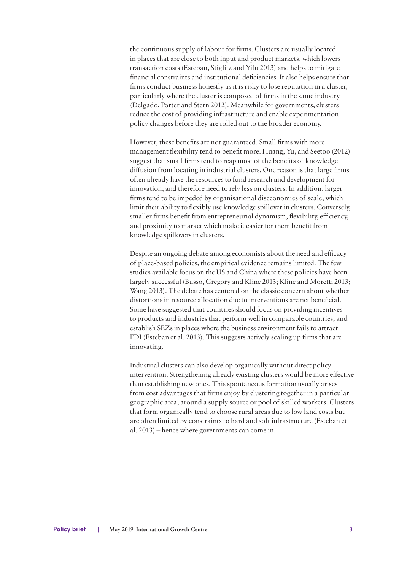the continuous supply of labour for firms. Clusters are usually located in places that are close to both input and product markets, which lowers transaction costs (Esteban, Stiglitz and Yifu 2013) and helps to mitigate financial constraints and institutional deficiencies. It also helps ensure that firms conduct business honestly as it is risky to lose reputation in a cluster, particularly where the cluster is composed of firms in the same industry (Delgado, Porter and Stern 2012). Meanwhile for governments, clusters reduce the cost of providing infrastructure and enable experimentation policy changes before they are rolled out to the broader economy.

However, these benefits are not guaranteed. Small firms with more management flexibility tend to benefit more. Huang, Yu, and Seetoo (2012) suggest that small firms tend to reap most of the benefits of knowledge diffusion from locating in industrial clusters. One reason is that large firms often already have the resources to fund research and development for innovation, and therefore need to rely less on clusters. In addition, larger firms tend to be impeded by organisational diseconomies of scale, which limit their ability to flexibly use knowledge spillover in clusters. Conversely, smaller firms benefit from entrepreneurial dynamism, flexibility, efficiency, and proximity to market which make it easier for them benefit from knowledge spillovers in clusters.

Despite an ongoing debate among economists about the need and efficacy of place-based policies, the empirical evidence remains limited. The few studies available focus on the US and China where these policies have been largely successful (Busso, Gregory and Kline 2013; Kline and Moretti 2013; Wang 2013). The debate has centered on the classic concern about whether distortions in resource allocation due to interventions are net beneficial. Some have suggested that countries should focus on providing incentives to products and industries that perform well in comparable countries, and establish SEZs in places where the business environment fails to attract FDI (Esteban et al. 2013). This suggests actively scaling up firms that are innovating.

Industrial clusters can also develop organically without direct policy intervention. Strengthening already existing clusters would be more effective than establishing new ones. This spontaneous formation usually arises from cost advantages that firms enjoy by clustering together in a particular geographic area, around a supply source or pool of skilled workers. Clusters that form organically tend to choose rural areas due to low land costs but are often limited by constraints to hard and soft infrastructure (Esteban et al. 2013) – hence where governments can come in.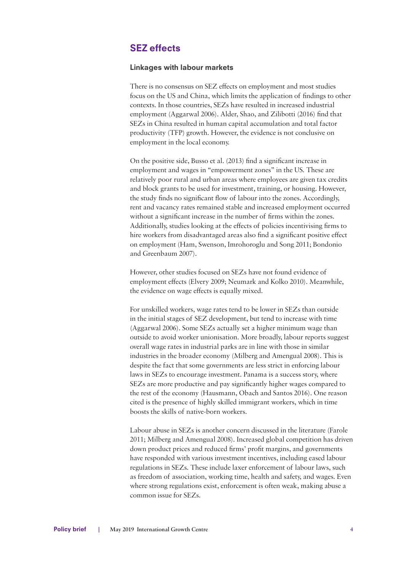## SEZ effects

#### Linkages with labour markets

There is no consensus on SEZ effects on employment and most studies focus on the US and China, which limits the application of findings to other contexts. In those countries, SEZs have resulted in increased industrial employment (Aggarwal 2006). Alder, Shao, and Zilibotti (2016) find that SEZs in China resulted in human capital accumulation and total factor productivity (TFP) growth. However, the evidence is not conclusive on employment in the local economy.

On the positive side, Busso et al. (2013) find a significant increase in employment and wages in "empowerment zones" in the US. These are relatively poor rural and urban areas where employees are given tax credits and block grants to be used for investment, training, or housing. However, the study finds no significant flow of labour into the zones. Accordingly, rent and vacancy rates remained stable and increased employment occurred without a significant increase in the number of firms within the zones. Additionally, studies looking at the effects of policies incentivising firms to hire workers from disadvantaged areas also find a significant positive effect on employment (Ham, Swenson, Imrohoroglu and Song 2011; Bondonio and Greenbaum 2007).

However, other studies focused on SEZs have not found evidence of employment effects (Elvery 2009; Neumark and Kolko 2010). Meanwhile, the evidence on wage effects is equally mixed.

For unskilled workers, wage rates tend to be lower in SEZs than outside in the initial stages of SEZ development, but tend to increase with time (Aggarwal 2006). Some SEZs actually set a higher minimum wage than outside to avoid worker unionisation. More broadly, labour reports suggest overall wage rates in industrial parks are in line with those in similar industries in the broader economy (Milberg and Amengual 2008). This is despite the fact that some governments are less strict in enforcing labour laws in SEZs to encourage investment. Panama is a success story, where SEZs are more productive and pay significantly higher wages compared to the rest of the economy (Hausmann, Obach and Santos 2016). One reason cited is the presence of highly skilled immigrant workers, which in time boosts the skills of native-born workers.

Labour abuse in SEZs is another concern discussed in the literature (Farole 2011; Milberg and Amengual 2008). Increased global competition has driven down product prices and reduced firms' profit margins, and governments have responded with various investment incentives, including eased labour regulations in SEZs. These include laxer enforcement of labour laws, such as freedom of association, working time, health and safety, and wages. Even where strong regulations exist, enforcement is often weak, making abuse a common issue for SEZs.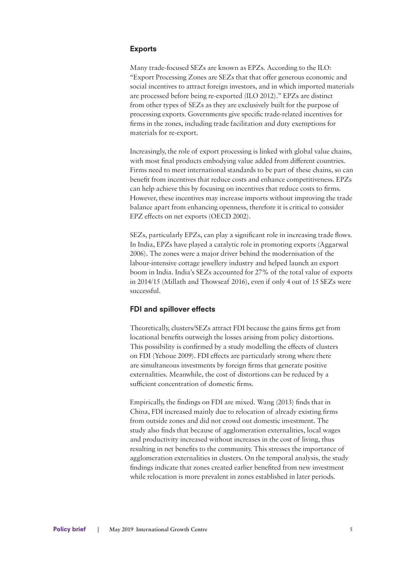#### Exports

Many trade-focused SEZs are known as EPZs. According to the ILO: "Export Processing Zones are SEZs that that offer generous economic and social incentives to attract foreign investors, and in which imported materials are processed before being re-exported (ILO 2012)." EPZs are distinct from other types of SEZs as they are exclusively built for the purpose of processing exports. Governments give specific trade-related incentives for firms in the zones, including trade facilitation and duty exemptions for materials for re-export.

Increasingly, the role of export processing is linked with global value chains, with most final products embodying value added from different countries. Firms need to meet international standards to be part of these chains, so can benefit from incentives that reduce costs and enhance competitiveness. EPZs can help achieve this by focusing on incentives that reduce costs to firms. However, these incentives may increase imports without improving the trade balance apart from enhancing openness, therefore it is critical to consider EPZ effects on net exports (OECD 2002).

SEZs, particularly EPZs, can play a significant role in increasing trade flows. In India, EPZs have played a catalytic role in promoting exports (Aggarwal 2006). The zones were a major driver behind the modernisation of the labour-intensive cottage jewellery industry and helped launch an export boom in India. India's SEZs accounted for 27% of the total value of exports in 2014/15 (Millath and Thowseaf 2016), even if only 4 out of 15 SEZs were successful.

#### FDI and spillover effects

Theoretically, clusters/SEZs attract FDI because the gains firms get from locational benefits outweigh the losses arising from policy distortions. This possibility is confirmed by a study modelling the effects of clusters on FDI (Yehoue 2009). FDI effects are particularly strong where there are simultaneous investments by foreign firms that generate positive externalities. Meanwhile, the cost of distortions can be reduced by a sufficient concentration of domestic firms.

Empirically, the findings on FDI are mixed. Wang (2013) finds that in China, FDI increased mainly due to relocation of already existing firms from outside zones and did not crowd out domestic investment. The study also finds that because of agglomeration externalities, local wages and productivity increased without increases in the cost of living, thus resulting in net benefits to the community. This stresses the importance of agglomeration externalities in clusters. On the temporal analysis, the study findings indicate that zones created earlier benefited from new investment while relocation is more prevalent in zones established in later periods.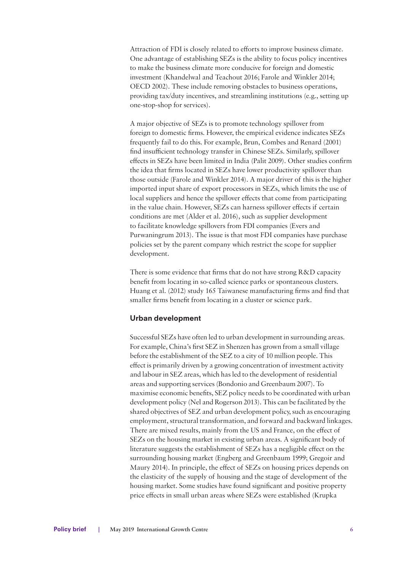Attraction of FDI is closely related to efforts to improve business climate. One advantage of establishing SEZs is the ability to focus policy incentives to make the business climate more conducive for foreign and domestic investment (Khandelwal and Teachout 2016; Farole and Winkler 2014; OECD 2002). These include removing obstacles to business operations, providing tax/duty incentives, and streamlining institutions (e.g., setting up one-stop-shop for services).

A major objective of SEZs is to promote technology spillover from foreign to domestic firms. However, the empirical evidence indicates SEZs frequently fail to do this. For example, Brun, Combes and Renard (2001) find insufficient technology transfer in Chinese SEZs. Similarly, spillover effects in SEZs have been limited in India (Palit 2009). Other studies confirm the idea that firms located in SEZs have lower productivity spillover than those outside (Farole and Winkler 2014). A major driver of this is the higher imported input share of export processors in SEZs, which limits the use of local suppliers and hence the spillover effects that come from participating in the value chain. However, SEZs can harness spillover effects if certain conditions are met (Alder et al. 2016), such as supplier development to facilitate knowledge spillovers from FDI companies (Evers and Purwaningrum 2013). The issue is that most FDI companies have purchase policies set by the parent company which restrict the scope for supplier development.

There is some evidence that firms that do not have strong R&D capacity benefit from locating in so-called science parks or spontaneous clusters. Huang et al. (2012) study 165 Taiwanese manufacturing firms and find that smaller firms benefit from locating in a cluster or science park.

#### Urban development

Successful SEZs have often led to urban development in surrounding areas. For example, China's first SEZ in Shenzen has grown from a small village before the establishment of the SEZ to a city of 10 million people. This effect is primarily driven by a growing concentration of investment activity and labour in SEZ areas, which has led to the development of residential areas and supporting services (Bondonio and Greenbaum 2007). To maximise economic benefits, SEZ policy needs to be coordinated with urban development policy (Nel and Rogerson 2013). This can be facilitated by the shared objectives of SEZ and urban development policy, such as encouraging employment, structural transformation, and forward and backward linkages. There are mixed results, mainly from the US and France, on the effect of SEZs on the housing market in existing urban areas. A significant body of literature suggests the establishment of SEZs has a negligible effect on the surrounding housing market (Engberg and Greenbaum 1999; Gregoir and Maury 2014). In principle, the effect of SEZs on housing prices depends on the elasticity of the supply of housing and the stage of development of the housing market. Some studies have found significant and positive property price effects in small urban areas where SEZs were established (Krupka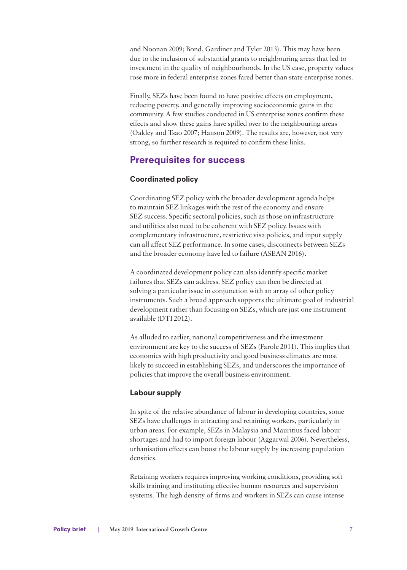and Noonan 2009; Bond, Gardiner and Tyler 2013). This may have been due to the inclusion of substantial grants to neighbouring areas that led to investment in the quality of neighbourhoods. In the US case, property values rose more in federal enterprise zones fared better than state enterprise zones.

Finally, SEZs have been found to have positive effects on employment, reducing poverty, and generally improving socioeconomic gains in the community. A few studies conducted in US enterprise zones confirm these effects and show these gains have spilled over to the neighbouring areas (Oakley and Tsao 2007; Hanson 2009). The results are, however, not very strong, so further research is required to confirm these links.

## Prerequisites for success

#### Coordinated policy

Coordinating SEZ policy with the broader development agenda helps to maintain SEZ linkages with the rest of the economy and ensure SEZ success. Specific sectoral policies, such as those on infrastructure and utilities also need to be coherent with SEZ policy. Issues with complementary infrastructure, restrictive visa policies, and input supply can all affect SEZ performance. In some cases, disconnects between SEZs and the broader economy have led to failure (ASEAN 2016).

A coordinated development policy can also identify specific market failures that SEZs can address. SEZ policy can then be directed at solving a particular issue in conjunction with an array of other policy instruments. Such a broad approach supports the ultimate goal of industrial development rather than focusing on SEZs, which are just one instrument available (DTI 2012).

As alluded to earlier, national competitiveness and the investment environment are key to the success of SEZs (Farole 2011). This implies that economies with high productivity and good business climates are most likely to succeed in establishing SEZs, and underscores the importance of policies that improve the overall business environment.

#### Labour supply

In spite of the relative abundance of labour in developing countries, some SEZs have challenges in attracting and retaining workers, particularly in urban areas. For example, SEZs in Malaysia and Mauritius faced labour shortages and had to import foreign labour (Aggarwal 2006). Nevertheless, urbanisation effects can boost the labour supply by increasing population densities.

Retaining workers requires improving working conditions, providing soft skills training and instituting effective human resources and supervision systems. The high density of firms and workers in SEZs can cause intense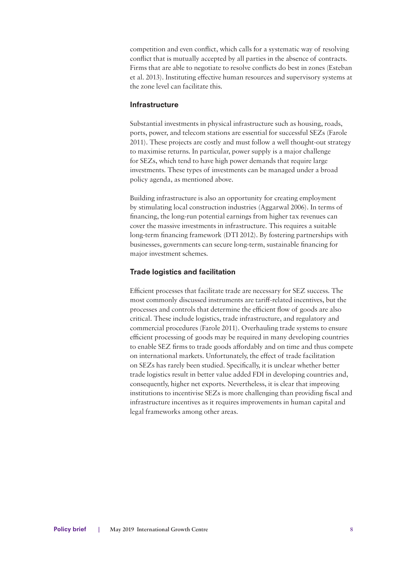competition and even conflict, which calls for a systematic way of resolving conflict that is mutually accepted by all parties in the absence of contracts. Firms that are able to negotiate to resolve conflicts do best in zones (Esteban et al. 2013). Instituting effective human resources and supervisory systems at the zone level can facilitate this.

#### Infrastructure

Substantial investments in physical infrastructure such as housing, roads, ports, power, and telecom stations are essential for successful SEZs (Farole 2011). These projects are costly and must follow a well thought-out strategy to maximise returns. In particular, power supply is a major challenge for SEZs, which tend to have high power demands that require large investments. These types of investments can be managed under a broad policy agenda, as mentioned above.

Building infrastructure is also an opportunity for creating employment by stimulating local construction industries (Aggarwal 2006). In terms of financing, the long-run potential earnings from higher tax revenues can cover the massive investments in infrastructure. This requires a suitable long-term financing framework (DTI 2012). By fostering partnerships with businesses, governments can secure long-term, sustainable financing for major investment schemes.

#### Trade logistics and facilitation

Efficient processes that facilitate trade are necessary for SEZ success. The most commonly discussed instruments are tariff-related incentives, but the processes and controls that determine the efficient flow of goods are also critical. These include logistics, trade infrastructure, and regulatory and commercial procedures (Farole 2011). Overhauling trade systems to ensure efficient processing of goods may be required in many developing countries to enable SEZ firms to trade goods affordably and on time and thus compete on international markets. Unfortunately, the effect of trade facilitation on SEZs has rarely been studied. Specifically, it is unclear whether better trade logistics result in better value added FDI in developing countries and, consequently, higher net exports. Nevertheless, it is clear that improving institutions to incentivise SEZs is more challenging than providing fiscal and infrastructure incentives as it requires improvements in human capital and legal frameworks among other areas.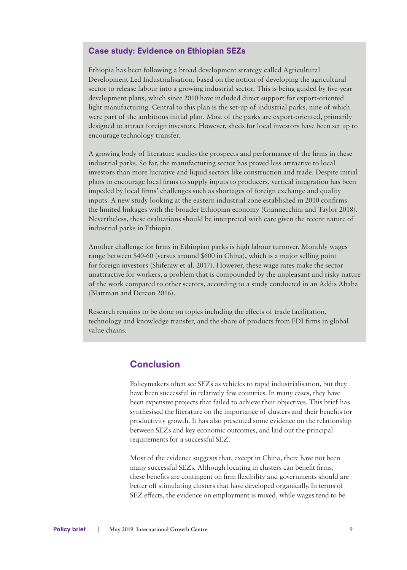#### Case study: Evidence on Ethiopian SEZs

Ethiopia has been following a broad development strategy called Agricultural Development Led Industrialisation, based on the notion of developing the agricultural sector to release labour into a growing industrial sector. This is being guided by five-year development plans, which since 2010 have included direct support for export-oriented light manufacturing. Central to this plan is the set-up of industrial parks, nine of which were part of the ambitious initial plan. Most of the parks are export-oriented, primarily designed to attract foreign investors. However, sheds for local investors have been set up to encourage technology transfer.

A growing body of literature studies the prospects and performance of the firms in these industrial parks. So far, the manufacturing sector has proved less attractive to local investors than more lucrative and liquid sectors like construction and trade. Despite initial plans to encourage local firms to supply inputs to producers, vertical integration has been impeded by local firms' challenges such as shortages of foreign exchange and quality inputs. A new study looking at the eastern industrial zone established in 2010 confirms the limited linkages with the broader Ethiopian economy (Giannecchini and Taylor 2018). Nevertheless, these evaluations should be interpreted with care given the recent nature of industrial parks in Ethiopia.

Another challenge for firms in Ethiopian parks is high labour turnover. Monthly wages range between \$40-60 (versus around \$600 in China), which is a major selling point for foreign investors (Shiferaw et al. 2017). However, these wage rates make the sector unattractive for workers, a problem that is compounded by the unpleasant and risky nature of the work compared to other sectors, according to a study conducted in an Addis Ababa (Blattman and Dercon 2016).

Research remains to be done on topics including the effects of trade facilitation, technology and knowledge transfer, and the share of products from FDI firms in global value chains.

### **Conclusion**

Policymakers often see SEZs as vehicles to rapid industrialisation, but they have been successful in relatively few countries. In many cases, they have been expensive projects that failed to achieve their objectives. This brief has synthesised the literature on the importance of clusters and their benefits for productivity growth. It has also presented some evidence on the relationship between SEZs and key economic outcomes, and laid out the principal requirements for a successful SEZ.

Most of the evidence suggests that, except in China, there have not been many successful SEZs. Although locating in clusters can benefit firms, these benefits are contingent on firm flexibility and governments should are better off stimulating clusters that have developed organically. In terms of SEZ effects, the evidence on employment is mixed, while wages tend to be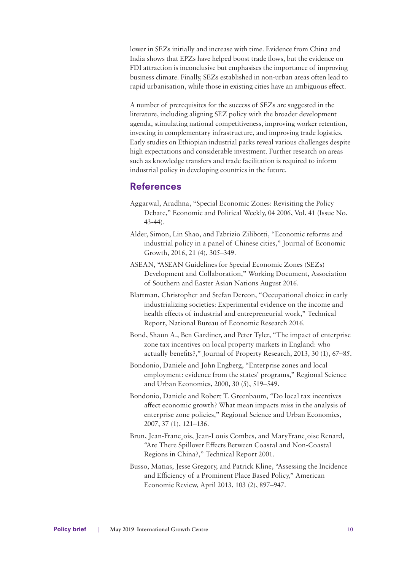lower in SEZs initially and increase with time. Evidence from China and India shows that EPZs have helped boost trade flows, but the evidence on FDI attraction is inconclusive but emphasises the importance of improving business climate. Finally, SEZs established in non-urban areas often lead to rapid urbanisation, while those in existing cities have an ambiguous effect.

A number of prerequisites for the success of SEZs are suggested in the literature, including aligning SEZ policy with the broader development agenda, stimulating national competitiveness, improving worker retention, investing in complementary infrastructure, and improving trade logistics. Early studies on Ethiopian industrial parks reveal various challenges despite high expectations and considerable investment. Further research on areas such as knowledge transfers and trade facilitation is required to inform industrial policy in developing countries in the future.

### References

- Aggarwal, Aradhna, "Special Economic Zones: Revisiting the Policy Debate," Economic and Political Weekly, 04 2006, Vol. 41 (Issue No. 43-44).
- Alder, Simon, Lin Shao, and Fabrizio Zilibotti, "Economic reforms and industrial policy in a panel of Chinese cities," Journal of Economic Growth, 2016, 21 (4), 305–349.
- ASEAN, "ASEAN Guidelines for Special Economic Zones (SEZs) Development and Collaboration," Working Document, Association of Southern and Easter Asian Nations August 2016.
- Blattman, Christopher and Stefan Dercon, "Occupational choice in early industrializing societies: Experimental evidence on the income and health effects of industrial and entrepreneurial work," Technical Report, National Bureau of Economic Research 2016.
- Bond, Shaun A., Ben Gardiner, and Peter Tyler, "The impact of enterprise zone tax incentives on local property markets in England: who actually benefits?," Journal of Property Research, 2013, 30 (1), 67–85.
- Bondonio, Daniele and John Engberg, "Enterprise zones and local employment: evidence from the states' programs," Regional Science and Urban Economics, 2000, 30 (5), 519–549.
- Bondonio, Daniele and Robert T. Greenbaum, "Do local tax incentives affect economic growth? What mean impacts miss in the analysis of enterprise zone policies," Regional Science and Urban Economics, 2007, 37 (1), 121–136.
- Brun, Jean-Franc¸ois, Jean-Louis Combes, and MaryFranc¸oise Renard, "Are There Spillover Effects Between Coastal and Non-Coastal Regions in China?," Technical Report 2001.
- Busso, Matias, Jesse Gregory, and Patrick Kline, "Assessing the Incidence and Efficiency of a Prominent Place Based Policy," American Economic Review, April 2013, 103 (2), 897–947.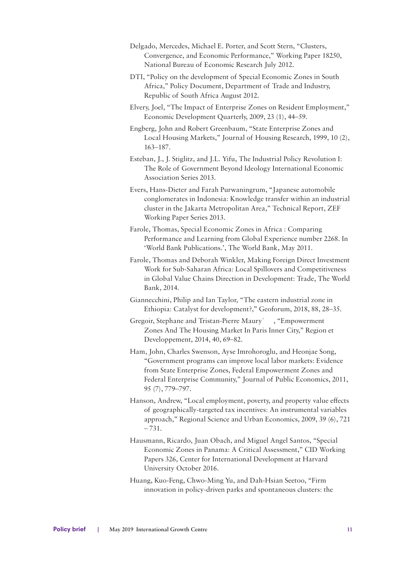- Delgado, Mercedes, Michael E. Porter, and Scott Stern, "Clusters, Convergence, and Economic Performance," Working Paper 18250, National Bureau of Economic Research July 2012.
- DTI, "Policy on the development of Special Economic Zones in South Africa," Policy Document, Department of Trade and Industry, Republic of South Africa August 2012.
- Elvery, Joel, "The Impact of Enterprise Zones on Resident Employment," Economic Development Quarterly, 2009, 23 (1), 44–59.
- Engberg, John and Robert Greenbaum, "State Enterprise Zones and Local Housing Markets," Journal of Housing Research, 1999, 10 (2), 163–187.
- Esteban, J., J. Stiglitz, and J.L. Yifu, The Industrial Policy Revolution I: The Role of Government Beyond Ideology International Economic Association Series 2013.
- Evers, Hans-Dieter and Farah Purwaningrum, "Japanese automobile conglomerates in Indonesia: Knowledge transfer within an industrial cluster in the Jakarta Metropolitan Area," Technical Report, ZEF Working Paper Series 2013.
- Farole, Thomas, Special Economic Zones in Africa : Comparing Performance and Learning from Global Experience number 2268. In 'World Bank Publications.', The World Bank, May 2011.
- Farole, Thomas and Deborah Winkler, Making Foreign Direct Investment Work for Sub-Saharan Africa: Local Spillovers and Competitiveness in Global Value Chains Direction in Development: Trade, The World Bank, 2014.
- Giannecchini, Philip and Ian Taylor, "The eastern industrial zone in Ethiopia: Catalyst for development?," Geoforum, 2018, 88, 28–35.
- Gregoir, Stephane and Tristan-Pierre Maury´ , "Empowerment Zones And The Housing Market In Paris Inner City," Region et Developpement, 2014, 40, 69–82.
- Ham, John, Charles Swenson, Ayse Imrohoroglu, and Heonjae Song, "Government programs can improve local labor markets: Evidence from State Enterprise Zones, Federal Empowerment Zones and Federal Enterprise Community," Journal of Public Economics, 2011, 95 (7), 779–797.
- Hanson, Andrew, "Local employment, poverty, and property value effects of geographically-targeted tax incentives: An instrumental variables approach," Regional Science and Urban Economics, 2009, 39 (6), 721 – 731.
- Hausmann, Ricardo, Juan Obach, and Miguel Angel Santos, "Special Economic Zones in Panama: A Critical Assessment," CID Working Papers 326, Center for International Development at Harvard University October 2016.
- Huang, Kuo-Feng, Chwo-Ming Yu, and Dah-Hsian Seetoo, "Firm innovation in policy-driven parks and spontaneous clusters: the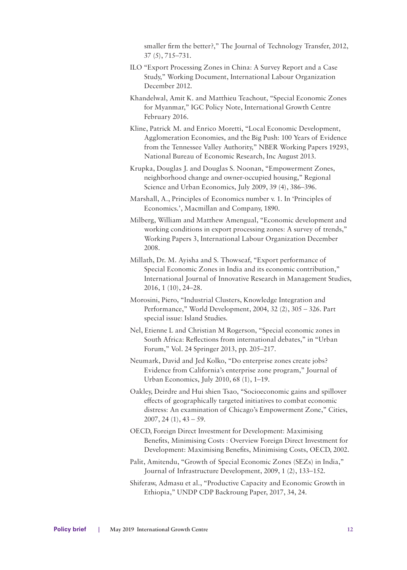smaller firm the better?," The Journal of Technology Transfer, 2012, 37 (5), 715–731.

- ILO "Export Processing Zones in China: A Survey Report and a Case Study," Working Document, International Labour Organization December 2012.
- Khandelwal, Amit K. and Matthieu Teachout, "Special Economic Zones for Myanmar," IGC Policy Note, International Growth Centre February 2016.
- Kline, Patrick M. and Enrico Moretti, "Local Economic Development, Agglomeration Economies, and the Big Push: 100 Years of Evidence from the Tennessee Valley Authority," NBER Working Papers 19293, National Bureau of Economic Research, Inc August 2013.
- Krupka, Douglas J. and Douglas S. Noonan, "Empowerment Zones, neighborhood change and owner-occupied housing," Regional Science and Urban Economics, July 2009, 39 (4), 386–396.
- Marshall, A., Principles of Economics number v. 1. In 'Principles of Economics.', Macmillan and Company, 1890.
- Milberg, William and Matthew Amengual, "Economic development and working conditions in export processing zones: A survey of trends," Working Papers 3, International Labour Organization December 2008.
- Millath, Dr. M. Ayisha and S. Thowseaf, "Export performance of Special Economic Zones in India and its economic contribution," International Journal of Innovative Research in Management Studies, 2016, 1 (10), 24–28.
- Morosini, Piero, "Industrial Clusters, Knowledge Integration and Performance," World Development, 2004, 32 (2), 305 – 326. Part special issue: Island Studies.
- Nel, Etienne L and Christian M Rogerson, "Special economic zones in South Africa: Reflections from international debates," in "Urban Forum," Vol. 24 Springer 2013, pp. 205–217.
- Neumark, David and Jed Kolko, "Do enterprise zones create jobs? Evidence from California's enterprise zone program," Journal of Urban Economics, July 2010, 68 (1), 1–19.
- Oakley, Deirdre and Hui shien Tsao, "Socioeconomic gains and spillover effects of geographically targeted initiatives to combat economic distress: An examination of Chicago's Empowerment Zone," Cities,  $2007, 24(1), 43-59.$
- OECD, Foreign Direct Investment for Development: Maximising Benefits, Minimising Costs : Overview Foreign Direct Investment for Development: Maximising Benefits, Minimising Costs, OECD, 2002.
- Palit, Amitendu, "Growth of Special Economic Zones (SEZs) in India," Journal of Infrastructure Development, 2009, 1 (2), 133–152.
- Shiferaw, Admasu et al., "Productive Capacity and Economic Growth in Ethiopia," UNDP CDP Backroung Paper, 2017, 34, 24.